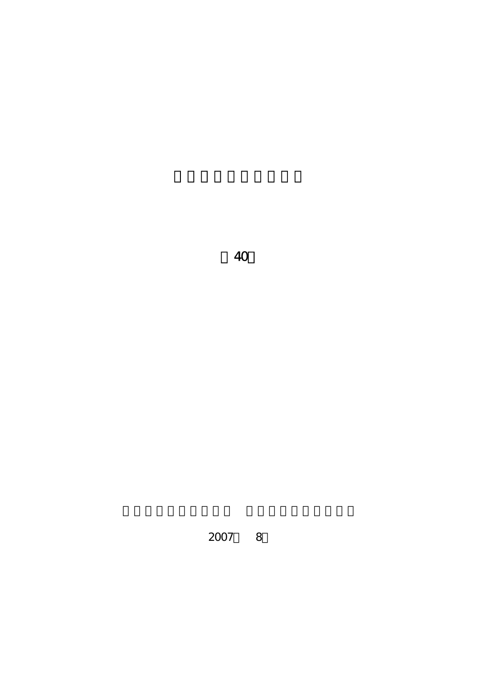

2007 8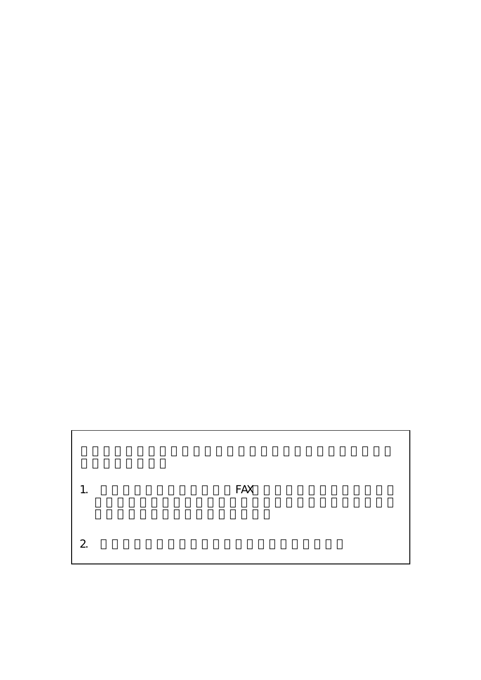1. PAX  $2.$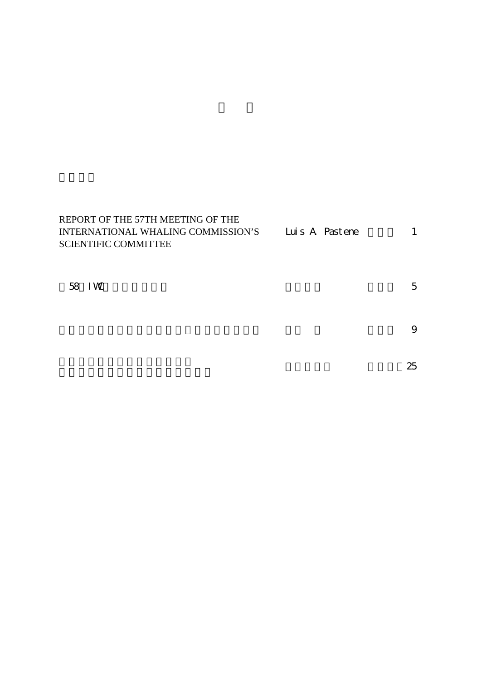| REPORT OF THE 57TH MEETING OF THE  |                |  |
|------------------------------------|----------------|--|
| INTERNATIONAL WHALING COMMISSION'S | Luis A Pastene |  |
| SCIENTIFIC COMMITTEE               |                |  |
|                                    |                |  |

| 58 IW |  |  | $\overline{\phantom{a}}$<br>╰ |
|-------|--|--|-------------------------------|
|       |  |  |                               |

 $\overline{\mathbf{C}}$ 

 $\sim$  25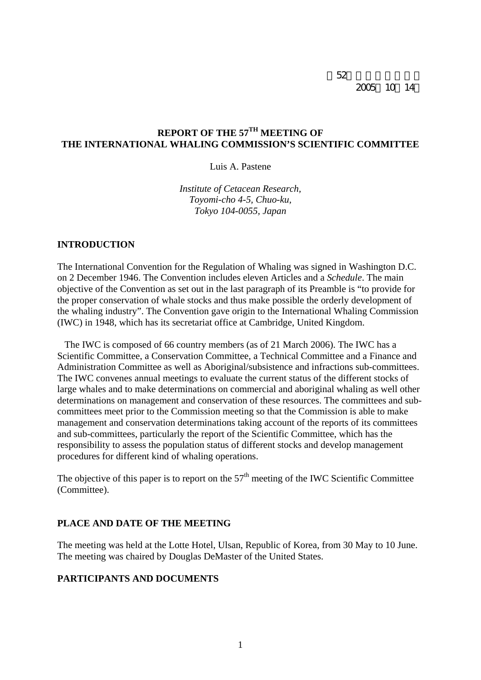第52回資源管理談話会 2005 10 14

# **REPORT OF THE 57TH MEETING OF THE INTERNATIONAL WHALING COMMISSION'S SCIENTIFIC COMMITTEE**

Luis A. Pastene

*Institute of Cetacean Research, Toyomi-cho 4-5, Chuo-ku, Tokyo 104-0055, Japan* 

#### **INTRODUCTION**

The International Convention for the Regulation of Whaling was signed in Washington D.C. on 2 December 1946. The Convention includes eleven Articles and a *Schedule*. The main objective of the Convention as set out in the last paragraph of its Preamble is "to provide for the proper conservation of whale stocks and thus make possible the orderly development of the whaling industry". The Convention gave origin to the International Whaling Commission (IWC) in 1948, which has its secretariat office at Cambridge, United Kingdom.

 The IWC is composed of 66 country members (as of 21 March 2006). The IWC has a Scientific Committee, a Conservation Committee, a Technical Committee and a Finance and Administration Committee as well as Aboriginal/subsistence and infractions sub-committees. The IWC convenes annual meetings to evaluate the current status of the different stocks of large whales and to make determinations on commercial and aboriginal whaling as well other determinations on management and conservation of these resources. The committees and subcommittees meet prior to the Commission meeting so that the Commission is able to make management and conservation determinations taking account of the reports of its committees and sub-committees, particularly the report of the Scientific Committee, which has the responsibility to assess the population status of different stocks and develop management procedures for different kind of whaling operations.

The objective of this paper is to report on the  $57<sup>th</sup>$  meeting of the IWC Scientific Committee (Committee).

### **PLACE AND DATE OF THE MEETING**

The meeting was held at the Lotte Hotel, Ulsan, Republic of Korea, from 30 May to 10 June. The meeting was chaired by Douglas DeMaster of the United States.

### **PARTICIPANTS AND DOCUMENTS**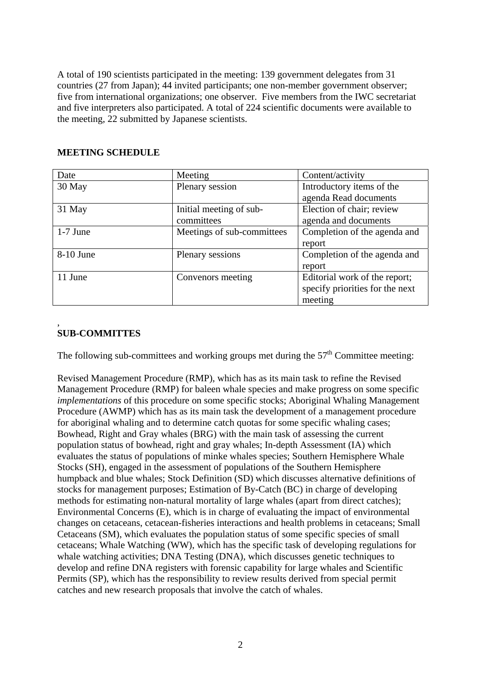A total of 190 scientists participated in the meeting: 139 government delegates from 31 countries (27 from Japan); 44 invited participants; one non-member government observer; five from international organizations; one observer. Five members from the IWC secretariat and five interpreters also participated. A total of 224 scientific documents were available to the meeting, 22 submitted by Japanese scientists.

# **MEETING SCHEDULE**

| Date       | Meeting                    | Content/activity                |
|------------|----------------------------|---------------------------------|
| 30 May     | Plenary session            | Introductory items of the       |
|            |                            | agenda Read documents           |
| 31 May     | Initial meeting of sub-    | Election of chair; review       |
|            | committees                 | agenda and documents            |
| $1-7$ June | Meetings of sub-committees | Completion of the agenda and    |
|            |                            | report                          |
| 8-10 June  | Plenary sessions           | Completion of the agenda and    |
|            |                            | report                          |
| 11 June    | Convenors meeting          | Editorial work of the report;   |
|            |                            | specify priorities for the next |
|            |                            | meeting                         |

### , **SUB-COMMITTES**

The following sub-committees and working groups met during the  $57<sup>th</sup>$  Committee meeting:

Revised Management Procedure (RMP), which has as its main task to refine the Revised Management Procedure (RMP) for baleen whale species and make progress on some specific *implementations* of this procedure on some specific stocks; Aboriginal Whaling Management Procedure (AWMP) which has as its main task the development of a management procedure for aboriginal whaling and to determine catch quotas for some specific whaling cases; Bowhead, Right and Gray whales (BRG) with the main task of assessing the current population status of bowhead, right and gray whales; In-depth Assessment (IA) which evaluates the status of populations of minke whales species; Southern Hemisphere Whale Stocks (SH), engaged in the assessment of populations of the Southern Hemisphere humpback and blue whales; Stock Definition (SD) which discusses alternative definitions of stocks for management purposes; Estimation of By-Catch (BC) in charge of developing methods for estimating non-natural mortality of large whales (apart from direct catches); Environmental Concerns (E), which is in charge of evaluating the impact of environmental changes on cetaceans, cetacean-fisheries interactions and health problems in cetaceans; Small Cetaceans (SM), which evaluates the population status of some specific species of small cetaceans; Whale Watching (WW), which has the specific task of developing regulations for whale watching activities; DNA Testing (DNA), which discusses genetic techniques to develop and refine DNA registers with forensic capability for large whales and Scientific Permits (SP), which has the responsibility to review results derived from special permit catches and new research proposals that involve the catch of whales.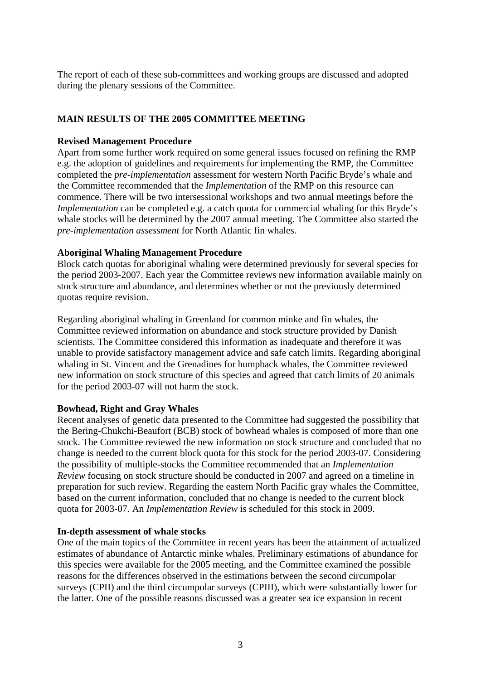The report of each of these sub-committees and working groups are discussed and adopted during the plenary sessions of the Committee.

# **MAIN RESULTS OF THE 2005 COMMITTEE MEETING**

### **Revised Management Procedure**

Apart from some further work required on some general issues focused on refining the RMP e.g. the adoption of guidelines and requirements for implementing the RMP, the Committee completed the *pre-implementation* assessment for western North Pacific Bryde's whale and the Committee recommended that the *Implementation* of the RMP on this resource can commence. There will be two intersessional workshops and two annual meetings before the *Implementation* can be completed e.g. a catch quota for commercial whaling for this Bryde's whale stocks will be determined by the 2007 annual meeting. The Committee also started the *pre-implementation assessment* for North Atlantic fin whales.

### **Aboriginal Whaling Management Procedure**

Block catch quotas for aboriginal whaling were determined previously for several species for the period 2003-2007. Each year the Committee reviews new information available mainly on stock structure and abundance, and determines whether or not the previously determined quotas require revision.

Regarding aboriginal whaling in Greenland for common minke and fin whales, the Committee reviewed information on abundance and stock structure provided by Danish scientists. The Committee considered this information as inadequate and therefore it was unable to provide satisfactory management advice and safe catch limits. Regarding aboriginal whaling in St. Vincent and the Grenadines for humpback whales, the Committee reviewed new information on stock structure of this species and agreed that catch limits of 20 animals for the period 2003-07 will not harm the stock.

### **Bowhead, Right and Gray Whales**

Recent analyses of genetic data presented to the Committee had suggested the possibility that the Bering-Chukchi-Beaufort (BCB) stock of bowhead whales is composed of more than one stock. The Committee reviewed the new information on stock structure and concluded that no change is needed to the current block quota for this stock for the period 2003-07. Considering the possibility of multiple-stocks the Committee recommended that an *Implementation Review* focusing on stock structure should be conducted in 2007 and agreed on a timeline in preparation for such review. Regarding the eastern North Pacific gray whales the Committee, based on the current information, concluded that no change is needed to the current block quota for 2003-07. An *Implementation Review* is scheduled for this stock in 2009.

### **In-depth assessment of whale stocks**

One of the main topics of the Committee in recent years has been the attainment of actualized estimates of abundance of Antarctic minke whales. Preliminary estimations of abundance for this species were available for the 2005 meeting, and the Committee examined the possible reasons for the differences observed in the estimations between the second circumpolar surveys (CPII) and the third circumpolar surveys (CPIII), which were substantially lower for the latter. One of the possible reasons discussed was a greater sea ice expansion in recent